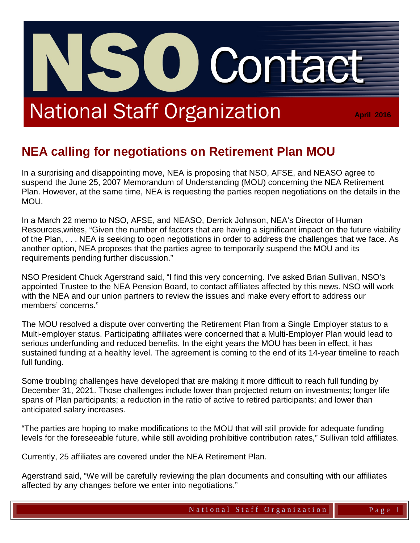# **National Staff Organization**

**April 2016**

## **NEA calling for negotiations on Retirement Plan MOU**

**O** 

In a surprising and disappointing move, NEA is proposing that NSO, AFSE, and NEASO agree to suspend the June 25, 2007 Memorandum of Understanding (MOU) concerning the NEA Retirement Plan. However, at the same time, NEA is requesting the parties reopen negotiations on the details in the MOU.

In a March 22 memo to NSO, AFSE, and NEASO, Derrick Johnson, NEA's Director of Human Resources,writes, "Given the number of factors that are having a significant impact on the future viability of the Plan, . . . NEA is seeking to open negotiations in order to address the challenges that we face. As another option, NEA proposes that the parties agree to temporarily suspend the MOU and its requirements pending further discussion."

NSO President Chuck Agerstrand said, "I find this very concerning. I've asked Brian Sullivan, NSO's appointed Trustee to the NEA Pension Board, to contact affiliates affected by this news. NSO will work with the NEA and our union partners to review the issues and make every effort to address our members' concerns."

The MOU resolved a dispute over converting the Retirement Plan from a Single Employer status to a Multi-employer status. Participating affiliates were concerned that a Multi-Employer Plan would lead to serious underfunding and reduced benefits. In the eight years the MOU has been in effect, it has sustained funding at a healthy level. The agreement is coming to the end of its 14-year timeline to reach full funding.

Some troubling challenges have developed that are making it more difficult to reach full funding by December 31, 2021. Those challenges include lower than projected return on investments; longer life spans of Plan participants; a reduction in the ratio of active to retired participants; and lower than anticipated salary increases.

"The parties are hoping to make modifications to the MOU that will still provide for adequate funding levels for the foreseeable future, while still avoiding prohibitive contribution rates," Sullivan told affiliates.

Currently, 25 affiliates are covered under the NEA Retirement Plan.

Agerstrand said, "We will be carefully reviewing the plan documents and consulting with our affiliates affected by any changes before we enter into negotiations."

Contact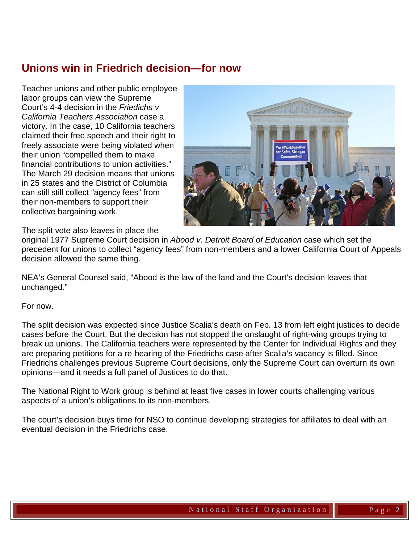### **Unions win in Friedrich decision—for now**

Teacher unions and other public employee labor groups can view the Supreme Court's 4-4 decision in the *Friedichs v California Teachers Association* case a victory. In the case, 10 California teachers claimed their free speech and their right to freely associate were being violated when their union "compelled them to make financial contributions to union activities." The March 29 decision means that unions in 25 states and the District of Columbia can still still collect "agency fees" from their non-members to support their collective bargaining work.



The split vote also leaves in place the

original 1977 Supreme Court decision in *Abood v. Detroit Board of Education* case which set the precedent for unions to collect "agency fees" from non-members and a lower California Court of Appeals decision allowed the same thing.

NEA's General Counsel said, "Abood is the law of the land and the Court's decision leaves that unchanged."

For now.

The split decision was expected since Justice Scalia's death on Feb. 13 from left eight justices to decide cases before the Court. But the decision has not stopped the onslaught of right-wing groups trying to break up unions. The California teachers were represented by the Center for Individual Rights and they are preparing petitions for a re-hearing of the Friedrichs case after Scalia's vacancy is filled. Since Friedrichs challenges previous Supreme Court decisions, only the Supreme Court can overturn its own opinions—and it needs a full panel of Justices to do that.

The National Right to Work group is behind at least five cases in lower courts challenging various aspects of a union's obligations to its non-members.

The court's decision buys time for NSO to continue developing strategies for affiliates to deal with an eventual decision in the Friedrichs case.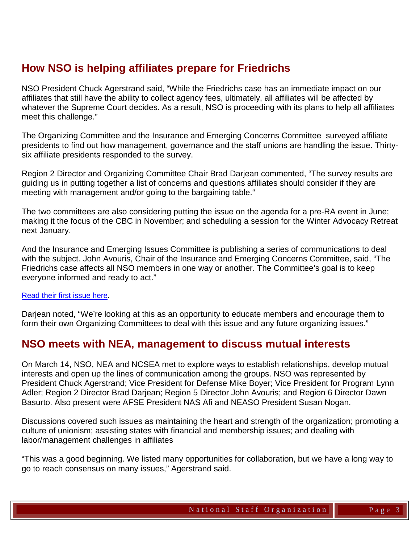### **How NSO is helping affiliates prepare for Friedrichs**

NSO President Chuck Agerstrand said, "While the Friedrichs case has an immediate impact on our affiliates that still have the ability to collect agency fees, ultimately, all affiliates will be affected by whatever the Supreme Court decides. As a result, NSO is proceeding with its plans to help all affiliates meet this challenge."

The Organizing Committee and the Insurance and Emerging Concerns Committee surveyed affiliate presidents to find out how management, governance and the staff unions are handling the issue. Thirtysix affiliate presidents responded to the survey.

Region 2 Director and Organizing Committee Chair Brad Darjean commented, "The survey results are guiding us in putting together a list of concerns and questions affiliates should consider if they are meeting with management and/or going to the bargaining table."

The two committees are also considering putting the issue on the agenda for a pre-RA event in June; making it the focus of the CBC in November; and scheduling a session for the Winter Advocacy Retreat next January.

And the Insurance and Emerging Issues Committee is publishing a series of communications to deal with the subject. John Avouris, Chair of the Insurance and Emerging Concerns Committee, said, "The Friedrichs case affects all NSO members in one way or another. The Committee's goal is to keep everyone informed and ready to act."

#### [Read](http://www.nationalstaff.org/wp-content/uploads/Are_you_ready.pdf) their first issue here.

Darjean noted, "We're looking at this as an opportunity to educate members and encourage them to form their own Organizing Committees to deal with this issue and any future organizing issues."

#### **NSO meets with NEA, management to discuss mutual interests**

On March 14, NSO, NEA and NCSEA met to explore ways to establish relationships, develop mutual interests and open up the lines of communication among the groups. NSO was represented by President Chuck Agerstrand; Vice President for Defense Mike Boyer; Vice President for Program Lynn Adler; Region 2 Director Brad Darjean; Region 5 Director John Avouris; and Region 6 Director Dawn Basurto. Also present were AFSE President NAS Afi and NEASO President Susan Nogan.

Discussions covered such issues as maintaining the heart and strength of the organization; promoting a culture of unionism; assisting states with financial and membership issues; and dealing with labor/management challenges in affiliates

"This was a good beginning. We listed many opportunities for collaboration, but we have a long way to go to reach consensus on many issues," Agerstrand said.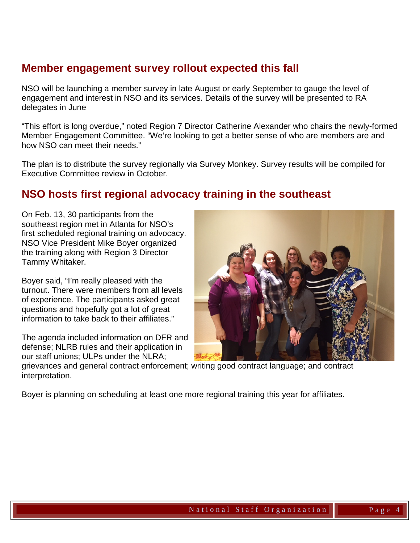#### **Member engagement survey rollout expected this fall**

NSO will be launching a member survey in late August or early September to gauge the level of engagement and interest in NSO and its services. Details of the survey will be presented to RA delegates in June

"This effort is long overdue," noted Region 7 Director Catherine Alexander who chairs the newly-formed Member Engagement Committee. "We're looking to get a better sense of who are members are and how NSO can meet their needs."

The plan is to distribute the survey regionally via Survey Monkey. Survey results will be compiled for Executive Committee review in October.

#### **NSO hosts first regional advocacy training in the southeast**

On Feb. 13, 30 participants from the southeast region met in Atlanta for NSO's first scheduled regional training on advocacy. NSO Vice President Mike Boyer organized the training along with Region 3 Director Tammy Whitaker.

Boyer said, "I'm really pleased with the turnout. There were members from all levels of experience. The participants asked great questions and hopefully got a lot of great information to take back to their affiliates."

The agenda included information on DFR and defense; NLRB rules and their application in our staff unions; ULPs under the NLRA;



grievances and general contract enforcement; writing good contract language; and contract interpretation.

Boyer is planning on scheduling at least one more regional training this year for affiliates.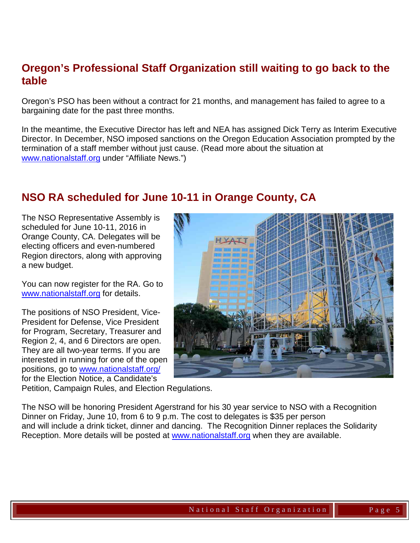#### **Oregon's Professional Staff Organization still waiting to go back to the table**

Oregon's PSO has been without a contract for 21 months, and management has failed to agree to a bargaining date for the past three months.

In the meantime, the Executive Director has left and NEA has assigned Dick Terry as Interim Executive Director. In December, NSO imposed sanctions on the Oregon Education Association prompted by the termination of a staff member without just cause. (Read more about the situation at [www.nationalstaff.org](http://www.nationalstaff.org/) under "Affiliate News.")

#### **NSO RA scheduled for June 10-11 in Orange County, CA**

The NSO Representative Assembly is scheduled for June 10-11, 2016 in Orange County, CA. Delegates will be electing officers and even-numbered Region directors, along with approving a new budget.

You can now register for the RA. Go to [www.nationalstaff.org](http://www.nationalstaff.org/) for details.

The positions of NSO President, Vice-President for Defense, Vice President for Program, Secretary, Treasurer and Region 2, 4, and 6 Directors are open. They are all two-year terms. If you are interested in running for one of the open positions, go to [www.nationalstaff.org/](http://www.nationalstaff.org/) for the Election Notice, a Candidate's



Petition, Campaign Rules, and Election Regulations.

The NSO will be honoring President Agerstrand for his 30 year service to NSO with a Recognition Dinner on Friday, June 10, from 6 to 9 p.m. The cost to delegates is \$35 per person and will include a drink ticket, dinner and dancing. The Recognition Dinner replaces the Solidarity Reception. More details will be posted at www.nationalstaff.org when they are available.